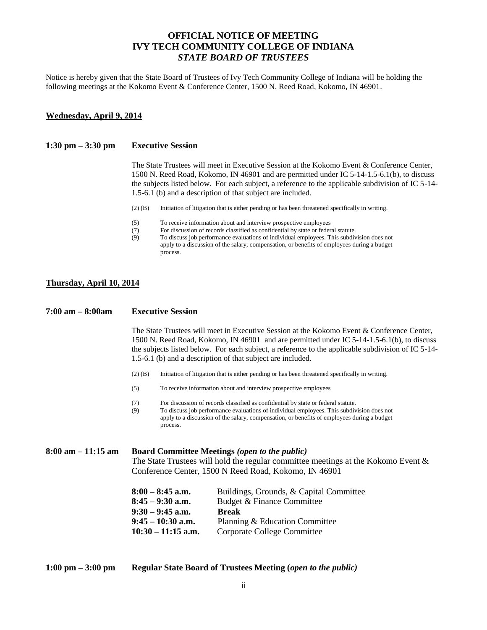# **OFFICIAL NOTICE OF MEETING IVY TECH COMMUNITY COLLEGE OF INDIANA** *STATE BOARD OF TRUSTEES*

Notice is hereby given that the State Board of Trustees of Ivy Tech Community College of Indiana will be holding the following meetings at the Kokomo Event & Conference Center, 1500 N. Reed Road, Kokomo, IN 46901.

## **Wednesday, April 9, 2014**

### **1:30 pm – 3:30 pm Executive Session**

The State Trustees will meet in Executive Session at the Kokomo Event & Conference Center, 1500 N. Reed Road, Kokomo, IN 46901 and are permitted under IC 5-14-1.5-6.1(b), to discuss the subjects listed below. For each subject, a reference to the applicable subdivision of IC 5-14- 1.5-6.1 (b) and a description of that subject are included.

- (2) (B) Initiation of litigation that is either pending or has been threatened specifically in writing.
- (5) To receive information about and interview prospective employees
- (7) For discussion of records classified as confidential by state or federal statute.
- (9) To discuss job performance evaluations of individual employees. This subdivision does not apply to a discussion of the salary, compensation, or benefits of employees during a budget process.

#### **Thursday, April 10, 2014**

#### **7:00 am – 8:00am Executive Session**

The State Trustees will meet in Executive Session at the Kokomo Event & Conference Center, 1500 N. Reed Road, Kokomo, IN 46901 and are permitted under IC 5-14-1.5-6.1(b), to discuss the subjects listed below. For each subject, a reference to the applicable subdivision of IC 5-14- 1.5-6.1 (b) and a description of that subject are included.

- (2) (B) Initiation of litigation that is either pending or has been threatened specifically in writing.
- (5) To receive information about and interview prospective employees
- (7) For discussion of records classified as confidential by state or federal statute.
- (9) To discuss job performance evaluations of individual employees. This subdivision does not apply to a discussion of the salary, compensation, or benefits of employees during a budget process.

**8:00 am – 11:15 am Board Committee Meetings** *(open to the public)* The State Trustees will hold the regular committee meetings at the Kokomo Event & Conference Center, 1500 N Reed Road, Kokomo, IN 46901

| $8:00 - 8:45$ a.m.   | Buildings, Grounds, & Capital Committee |
|----------------------|-----------------------------------------|
| $8:45 - 9:30$ a.m.   | Budget & Finance Committee              |
| $9:30 - 9:45$ a.m.   | <b>Break</b>                            |
| $9:45-10:30$ a.m.    | Planning & Education Committee          |
| $10:30 - 11:15$ a.m. | Corporate College Committee             |

## **1:00 pm – 3:00 pm Regular State Board of Trustees Meeting (***open to the public)*